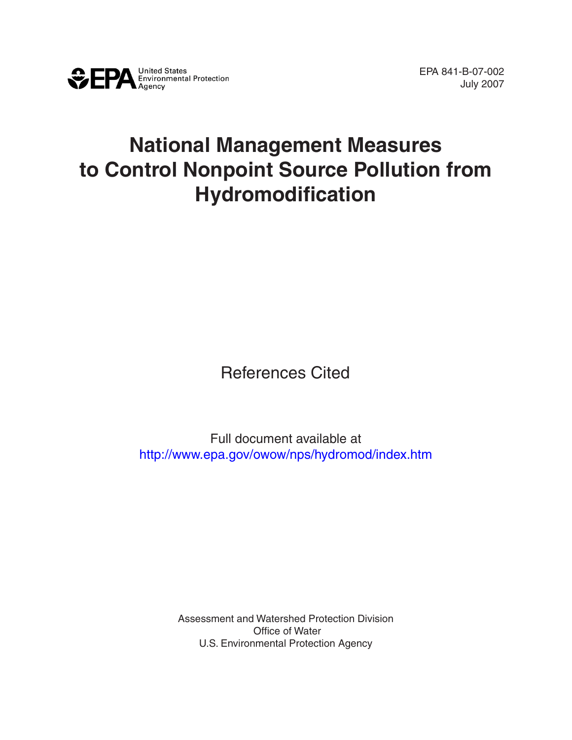

## **National Management Measures to Control Nonpoint Source Pollution from Hydromodification**

References Cited

Full document available at <http://www.epa.gov/owow/nps/hydromod/index.htm>

> Assessment and Watershed Protection Division Office of Water U.S. Environmental Protection Agency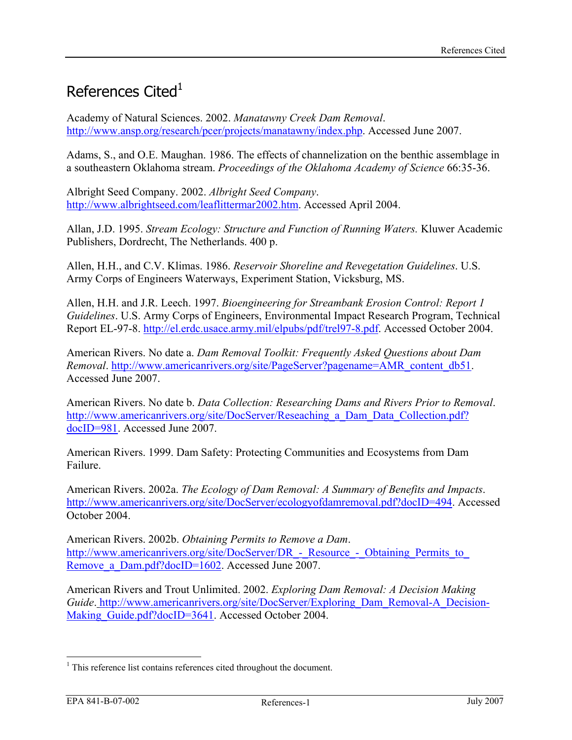## References Cited $1$

Academy of Natural Sciences. 2002. *Manatawny Creek Dam Removal*. <http://www.ansp.org/research/pcer/projects/manatawny/index.php>. Accessed June 2007.

Adams, S., and O.E. Maughan. 1986. The effects of channelization on the benthic assemblage in a southeastern Oklahoma stream. *Proceedings of the Oklahoma Academy of Science* 66:35-36.

Albright Seed Company. 2002. *Albright Seed Company*. [http://www.albrightseed.com/leaflittermar2002.htm.](http://www.albrightseed.com/leaflittermar2002.htm) Accessed April 2004.

Allan, J.D. 1995. *Stream Ecology: Structure and Function of Running Waters.* Kluwer Academic Publishers, Dordrecht, The Netherlands. 400 p.

Allen, H.H., and C.V. Klimas. 1986. *Reservoir Shoreline and Revegetation Guidelines*. U.S. Army Corps of Engineers Waterways, Experiment Station, Vicksburg, MS.

Allen, H.H. and J.R. Leech. 1997. *Bioengineering for Streambank Erosion Control: Report 1 Guidelines*. U.S. Army Corps of Engineers, Environmental Impact Research Program, Technical Report EL-97-8. <http://el.erdc.usace.army.mil/elpubs/pdf/trel97-8.pdf>. Accessed October 2004.

American Rivers. No date a. *Dam Removal Toolkit: Frequently Asked Questions about Dam Removal*. [http://www.americanrivers.org/site/PageServer?pagename=AMR\\_content\\_db51.](http://www.americanrivers.org/site/PageServer?pagename=AMR_content_db51) Accessed June 2007.

American Rivers. No date b. *Data Collection: Researching Dams and Rivers Prior to Removal*. http://www.americanrivers.org/site/DocServer/Reseaching a Dam Data Collection.pdf? [docID=981](http://www.americanrivers.org/site/DocServer/Reseaching_a_Dam_Data_Collection.pdf?docID=981). Accessed June 2007.

American Rivers. 1999. Dam Safety: Protecting Communities and Ecosystems from Dam Failure.

American Rivers. 2002a. *The Ecology of Dam Removal: A Summary of Benefits and Impacts*. <http://www.americanrivers.org/site/DocServer/ecologyofdamremoval.pdf?docID=494>. Accessed October 2004.

American Rivers. 2002b. *Obtaining Permits to Remove a Dam*. http://www.americanrivers.org/site/DocServer/DR - Resource - Obtaining Permits to Remove a Dam.pdf?docID=1602. Accessed June 2007.

American Rivers and Trout Unlimited. 2002. *Exploring Dam Removal: A Decision Making Guide*. http://www.americanrivers.org/site/DocServer/Exploring Dam Removal-A Decision-[Making\\_Guide.pdf?docID=3641.](http://www.americanrivers.org/site/DocServer/Exploring_Dam_Removal-A_Decision-Making_Guide.pdf?docID=3641) Accessed October 2004.

 $\overline{a}$ <sup>1</sup> This reference list contains references cited throughout the document.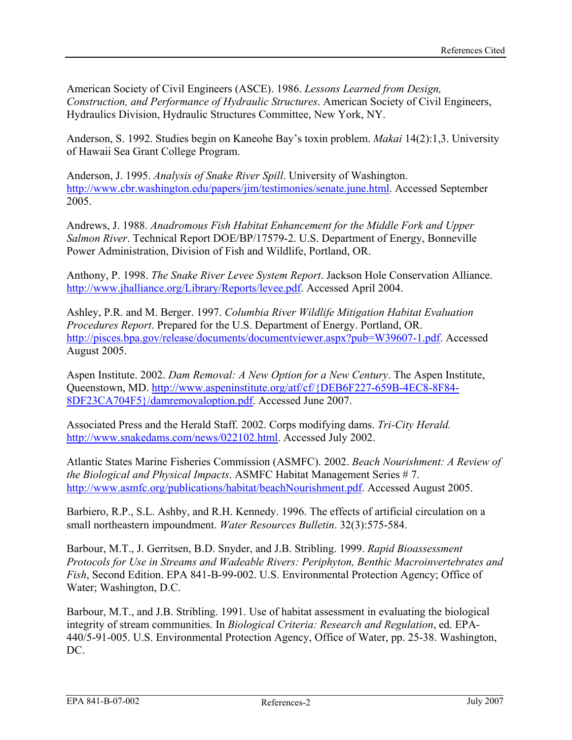American Society of Civil Engineers (ASCE). 1986. *Lessons Learned from Design, Construction, and Performance of Hydraulic Structures*. American Society of Civil Engineers, Hydraulics Division, Hydraulic Structures Committee, New York, NY.

Anderson, S. 1992. Studies begin on Kaneohe Bay's toxin problem. *Makai* 14(2):1,3. University of Hawaii Sea Grant College Program.

Anderson, J. 1995. *Analysis of Snake River Spill*. University of Washington. [http://www.cbr.washington.edu/papers/jim/testimonies/senate.june.html.](http://www.cbr.washington.edu/papers/jim/testimonies/senate.june.html) Accessed September 2005.

Andrews, J. 1988. *Anadromous Fish Habitat Enhancement for the Middle Fork and Upper Salmon River*. Technical Report DOE/BP/17579-2. U.S. Department of Energy, Bonneville Power Administration, Division of Fish and Wildlife, Portland, OR.

Anthony, P. 1998. *The Snake River Levee System Report*. Jackson Hole Conservation Alliance. <http://www.jhalliance.org/Library/Reports/levee.pdf>. Accessed April 2004.

Ashley, P.R. and M. Berger. 1997. *Columbia River Wildlife Mitigation Habitat Evaluation Procedures Report*. Prepared for the U.S. Department of Energy. Portland, OR. <http://pisces.bpa.gov/release/documents/documentviewer.aspx?pub=W39607-1.pdf>. Accessed August 2005.

Aspen Institute. 2002. *Dam Removal: A New Option for a New Century*. The Aspen Institute, Queenstown, MD. [http://www.aspeninstitute.org/atf/cf/{DEB6F227-659B-4EC8-8F84-](http://www.aspeninstitute.org/atf/cf/%7bDEB6F227-659B-4EC8-8F84-8DF23CA704F5%7d/damremovaloption.pdf) [8DF23CA704F5}/damremovaloption.pdf.](http://www.aspeninstitute.org/atf/cf/%7bDEB6F227-659B-4EC8-8F84-8DF23CA704F5%7d/damremovaloption.pdf) Accessed June 2007.

Associated Press and the Herald Staff. 2002. Corps modifying dams. *Tri-City Herald.*  [http://www.snakedams.com/news/022102.html.](http://www.snakedams.com/news/022102.html) Accessed July 2002.

Atlantic States Marine Fisheries Commission (ASMFC). 2002. *Beach Nourishment: A Review of the Biological and Physical Impacts*. ASMFC Habitat Management Series # 7. [http://www.asmfc.org/publications/habitat/beachNourishment.pdf.](http://www.asmfc.org/publications/habitat/beachNourishment.pdf) Accessed August 2005.

Barbiero, R.P., S.L. Ashby, and R.H. Kennedy. 1996. The effects of artificial circulation on a small northeastern impoundment. *Water Resources Bulletin*. 32(3):575-584.

Barbour, M.T., J. Gerritsen, B.D. Snyder, and J.B. Stribling. 1999. *Rapid Bioassessment Protocols for Use in Streams and Wadeable Rivers: Periphyton, Benthic Macroinvertebrates and Fish*, Second Edition. EPA 841-B-99-002. U.S. Environmental Protection Agency; Office of Water; Washington, D.C.

Barbour, M.T., and J.B. Stribling. 1991. Use of habitat assessment in evaluating the biological integrity of stream communities. In *Biological Criteria: Research and Regulation*, ed. EPA-440/5-91-005. U.S. Environmental Protection Agency, Office of Water, pp. 25-38. Washington, DC.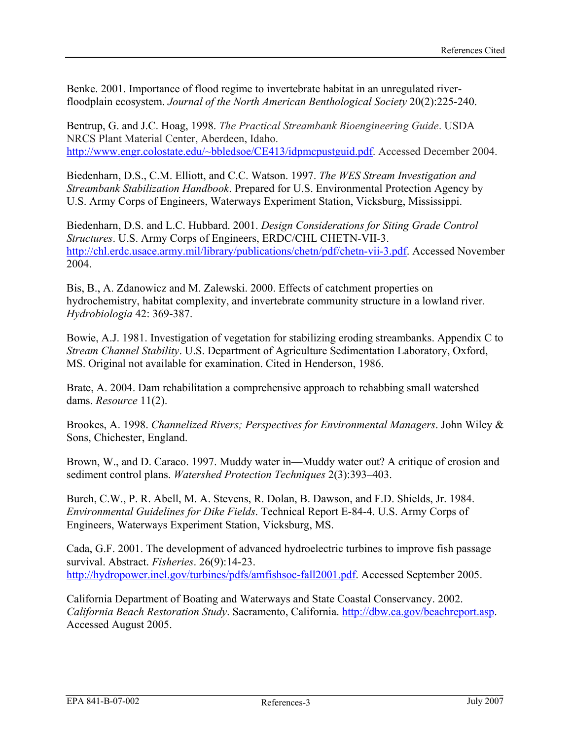Benke. 2001. Importance of flood regime to invertebrate habitat in an unregulated riverfloodplain ecosystem. *Journal of the North American Benthological Society* 20(2):225-240.

Bentrup, G. and J.C. Hoag, 1998. *The Practical Streambank Bioengineering Guide*. USDA NRCS Plant Material Center, Aberdeen, Idaho. [http://www.engr.colostate.edu/~bbledsoe/CE413/idpmcpustguid.pdf](http://www.engr.colostate.edu/%7Ebbledsoe/CE413/idpmcpustguid.pdf). Accessed December 2004.

Biedenharn, D.S., C.M. Elliott, and C.C. Watson. 1997. *The WES Stream Investigation and Streambank Stabilization Handbook*. Prepared for U.S. Environmental Protection Agency by U.S. Army Corps of Engineers, Waterways Experiment Station, Vicksburg, Mississippi.

Biedenharn, D.S. and L.C. Hubbard. 2001. *Design Considerations for Siting Grade Control Structures*. U.S. Army Corps of Engineers, ERDC/CHL CHETN-VII-3. [http://chl.erdc.usace.army.mil/library/publications/chetn/pdf/chetn-vii-3.pdf.](http://chl.erdc.usace.army.mil/library/publications/chetn/pdf/chetn-vii-3.pdf) Accessed November 2004.

Bis, B., A. Zdanowicz and M. Zalewski. 2000. Effects of catchment properties on hydrochemistry, habitat complexity, and invertebrate community structure in a lowland river*. Hydrobiologia* 42: 369-387.

Bowie, A.J. 1981. Investigation of vegetation for stabilizing eroding streambanks. Appendix C to *Stream Channel Stability*. U.S. Department of Agriculture Sedimentation Laboratory, Oxford, MS. Original not available for examination. Cited in Henderson, 1986.

Brate, A. 2004. Dam rehabilitation a comprehensive approach to rehabbing small watershed dams. *Resource* 11(2).

Brookes, A. 1998. *Channelized Rivers; Perspectives for Environmental Managers*. John Wiley & Sons, Chichester, England.

Brown, W<sub>ra</sub> and D. Caraco. 1997. Muddy water in—Muddy water out? A critique of erosion and sediment control plans. *Watershed Protection Techniques* 2(3):393–403.

Burch, C.W., P. R. Abell, M. A. Stevens, R. Dolan, B. Dawson, and F.D. Shields, Jr. 1984. *Environmental Guidelines for Dike Fields*. Technical Report E-84-4. U.S. Army Corps of Engineers, Waterways Experiment Station, Vicksburg, MS.

Cada, G.F. 2001. The development of advanced hydroelectric turbines to improve fish passage survival. Abstract. *Fisheries*. 26(9):14-23. [http://hydropower.inel.gov/turbines/pdfs/amfishsoc-fall2001.pdf.](http://hydropower.inel.gov/turbines/pdfs/amfishsoc-fall2001.pdf) Accessed September 2005.

California Department of Boating and Waterways and State Coastal Conservancy. 2002. *California Beach Restoration Study*. Sacramento, California.<http://dbw.ca.gov/beachreport.asp>. Accessed August 2005.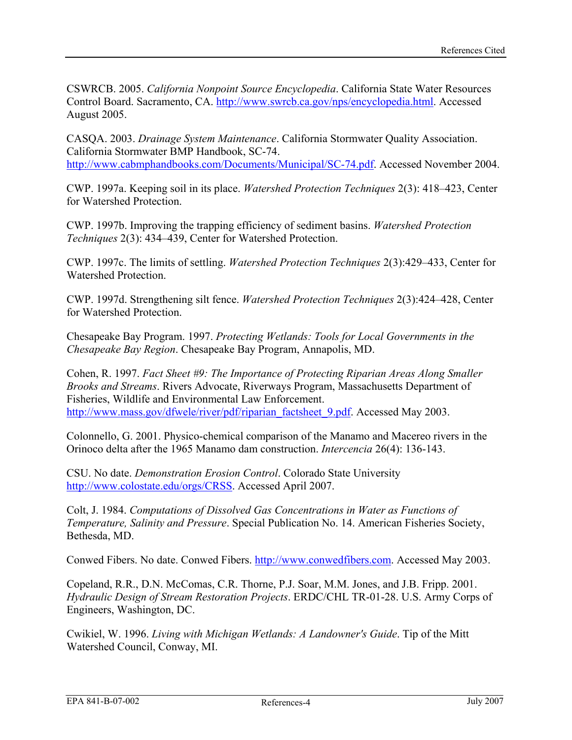CSWRCB. 2005. *California Nonpoint Source Encyclopedia*. California State Water Resources Control Board. Sacramento, CA. <http://www.swrcb.ca.gov/nps/encyclopedia.html>. Accessed August 2005.

CASQA. 2003. *Drainage System Maintenance*. California Stormwater Quality Association. California Stormwater BMP Handbook, SC-74. <http://www.cabmphandbooks.com/Documents/Municipal/SC-74.pdf>. Accessed November 2004.

CWP. 1997a. Keeping soil in its place. *Watershed Protection Techniques* 2(3): 418–423, Center for Watershed Protection.

CWP. 1997b. Improving the trapping efficiency of sediment basins. *Watershed Protection Techniques* 2(3): 434–439, Center for Watershed Protection.

CWP. 1997c. The limits of settling. *Watershed Protection Techniques* 2(3):429–433, Center for Watershed Protection.

CWP. 1997d. Strengthening silt fence. *Watershed Protection Techniques* 2(3):424–428, Center for Watershed Protection.

Chesapeake Bay Program. 1997. *Protecting Wetlands: Tools for Local Governments in the Chesapeake Bay Region*. Chesapeake Bay Program, Annapolis, MD.

Cohen, R. 1997. *Fact Sheet #9: The Importance of Protecting Riparian Areas Along Smaller Brooks and Streams*. Rivers Advocate, Riverways Program, Massachusetts Department of Fisheries, Wildlife and Environmental Law Enforcement. [http://www.mass.gov/dfwele/river/pdf/riparian\\_factsheet\\_9.pdf.](http://www.mass.gov/dfwele/river/pdf/riparian_factsheet_9.pdf) Accessed May 2003.

Colonnello, G. 2001. Physico-chemical comparison of the Manamo and Macereo rivers in the Orinoco delta after the 1965 Manamo dam construction. *Intercencia* 26(4): 136-143.

CSU. No date. *Demonstration Erosion Control*. Colorado State University [http://www.colostate.edu/orgs/CRSS.](http://www.colostate.edu/orgs/CRSS) Accessed April 2007.

Colt, J. 1984. *Computations of Dissolved Gas Concentrations in Water as Functions of Temperature, Salinity and Pressure*. Special Publication No. 14. American Fisheries Society, Bethesda, MD.

Conwed Fibers. No date. Conwed Fibers. [http://www.conwedfibers.com.](http://www.conwedfibers.com/) Accessed May 2003.

Copeland, R.R., D.N. McComas, C.R. Thorne, P.J. Soar, M.M. Jones, and J.B. Fripp. 2001. *Hydraulic Design of Stream Restoration Projects*. ERDC/CHL TR-01-28. U.S. Army Corps of Engineers, Washington, DC.

Cwikiel, W. 1996. *Living with Michigan Wetlands: A Landowner's Guide*. Tip of the Mitt Watershed Council, Conway, MI.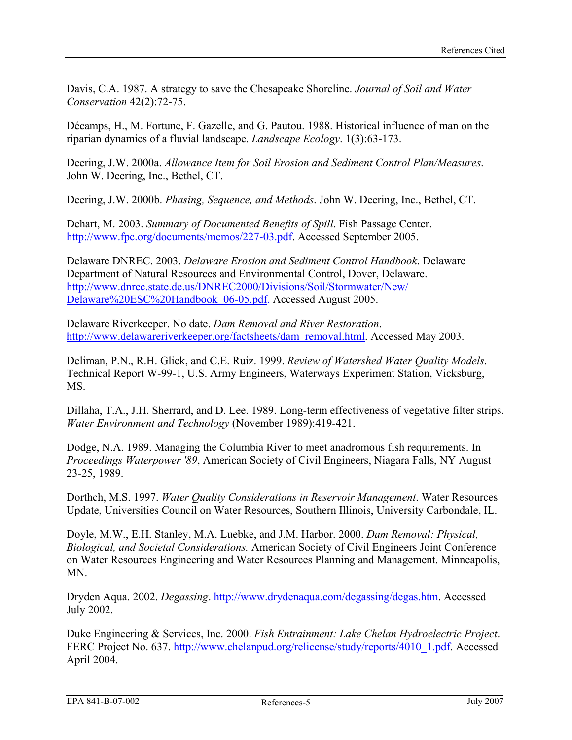Davis, C.A. 1987. A strategy to save the Chesapeake Shoreline. *Journal of Soil and Water Conservation* 42(2):72-75.

Décamps, H., M. Fortune, F. Gazelle, and G. Pautou. 1988. Historical influence of man on the riparian dynamics of a fluvial landscape. *Landscape Ecology*. 1(3):63-173.

Deering, J.W. 2000a. *Allowance Item for Soil Erosion and Sediment Control Plan/Measures*. John W. Deering, Inc., Bethel, CT.

Deering, J.W. 2000b. *Phasing, Sequence, and Methods*. John W. Deering, Inc., Bethel, CT.

Dehart, M. 2003. *Summary of Documented Benefits of Spill*. Fish Passage Center. [http://www.fpc.org/documents/memos/227-03.pdf.](http://www.fpc.org/documents/memos/227-03.pdf) Accessed September 2005.

Delaware DNREC. 2003. *Delaware Erosion and Sediment Control Handbook*. Delaware Department of Natural Resources and Environmental Control, Dover, Delaware. [http://www.dnrec.state.de.us/DNREC2000/Divisions/Soil/Stormwater/New/](http://www.dnrec.state.de.us/DNREC2000/Divisions/Soil/Stormwater/New/Delaware%20ESC%20Handbook_06-05.pdf) [Delaware%20ESC%20Handbook\\_06-05.pdf](http://www.dnrec.state.de.us/DNREC2000/Divisions/Soil/Stormwater/New/Delaware%20ESC%20Handbook_06-05.pdf). Accessed August 2005.

Delaware Riverkeeper. No date. *Dam Removal and River Restoration*. [http://www.delawareriverkeeper.org/factsheets/dam\\_removal.html.](http://www.delawareriverkeeper.org/factsheets/dam_removal.html) Accessed May 2003.

Deliman, P.N., R.H. Glick, and C.E. Ruiz. 1999. *Review of Watershed Water Quality Models*. Technical Report W-99-1, U.S. Army Engineers, Waterways Experiment Station, Vicksburg, MS.

Dillaha, T.A., J.H. Sherrard, and D. Lee. 1989. Long-term effectiveness of vegetative filter strips. *Water Environment and Technology* (November 1989):419-421.

Dodge, N.A. 1989. Managing the Columbia River to meet anadromous fish requirements. In *Proceedings Waterpower '89*, American Society of Civil Engineers, Niagara Falls, NY August 23-25, 1989.

Dorthch, M.S. 1997. *Water Quality Considerations in Reservoir Management*. Water Resources Update, Universities Council on Water Resources, Southern Illinois, University Carbondale, IL.

Doyle, M.W., E.H. Stanley, M.A. Luebke, and J.M. Harbor. 2000. *Dam Removal: Physical, Biological, and Societal Considerations.* American Society of Civil Engineers Joint Conference on Water Resources Engineering and Water Resources Planning and Management. Minneapolis, MN.

Dryden Aqua. 2002. *Degassing*. <http://www.drydenaqua.com/degassing/degas.htm>. Accessed July 2002.

Duke Engineering & Services, Inc. 2000. *Fish Entrainment: Lake Chelan Hydroelectric Project*. FERC Project No. 637. [http://www.chelanpud.org/relicense/study/reports/4010\\_1.pdf](http://www.chelanpud.org/relicense/study/reports/4010_1.pdf). Accessed April 2004.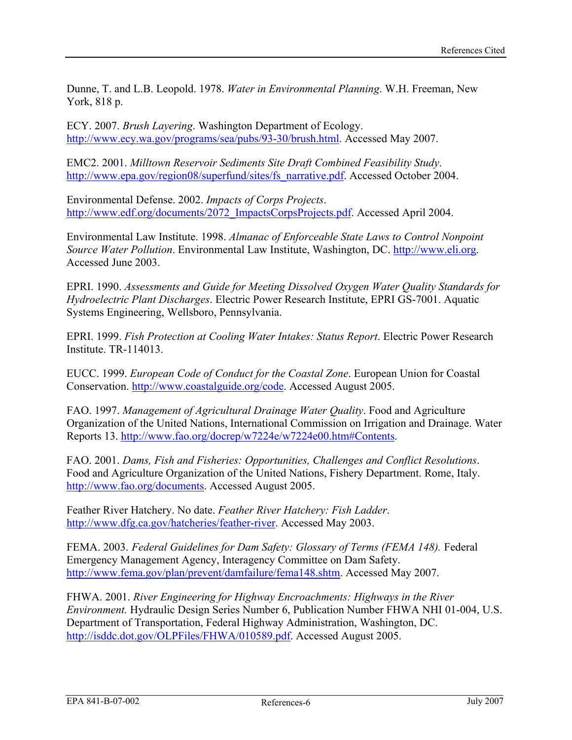Dunne, T. and L.B. Leopold. 1978. *Water in Environmental Planning*. W.H. Freeman, New York, 818 p.

ECY. 2007. *Brush Layering*. Washington Department of Ecology. <http://www.ecy.wa.gov/programs/sea/pubs/93-30/brush.html>. Accessed May 2007.

EMC2. 2001. *Milltown Reservoir Sediments Site Draft Combined Feasibility Study*. [http://www.epa.gov/region08/superfund/sites/fs\\_narrative.pdf](http://www.epa.gov/region08/superfund/sites/fs_narrative.pdf). Accessed October 2004.

Environmental Defense. 2002. *Impacts of Corps Projects*. [http://www.edf.org/documents/2072\\_ImpactsCorpsProjects.pdf](http://www.edf.org/documents/2072_ImpactsCorpsProjects.pdf). Accessed April 2004.

Environmental Law Institute. 1998. *Almanac of Enforceable State Laws to Control Nonpoint Source Water Pollution*. Environmental Law Institute, Washington, DC. [http://www.eli.org.](http://www.eli.org/) Accessed June 2003.

EPRI. 1990. *Assessments and Guide for Meeting Dissolved Oxygen Water Quality Standards for Hydroelectric Plant Discharges*. Electric Power Research Institute, EPRI GS-7001. Aquatic Systems Engineering, Wellsboro, Pennsylvania.

EPRI. 1999. *Fish Protection at Cooling Water Intakes: Status Report*. Electric Power Research Institute. TR-114013.

EUCC. 1999. *European Code of Conduct for the Coastal Zone*. European Union for Coastal Conservation. [http://www.coastalguide.org/code.](http://www.coastalguide.org/code) Accessed August 2005.

FAO. 1997. *Management of Agricultural Drainage Water Quality*. Food and Agriculture Organization of the United Nations, International Commission on Irrigation and Drainage. Water Reports 13. [http://www.fao.org/docrep/w7224e/w7224e00.htm#Contents.](http://www.fao.org/docrep/w7224e/w7224e00.htm#Contents)

FAO. 2001. *Dams, Fish and Fisheries: Opportunities, Challenges and Conflict Resolutions*. Food and Agriculture Organization of the United Nations, Fishery Department. Rome, Italy. <http://www.fao.org/documents>. Accessed August 2005.

Feather River Hatchery. No date. *Feather River Hatchery: Fish Ladder*. [http://www.dfg.ca.gov/hatcheries/feather-river.](http://www.dfg.ca.gov/hatcheries/feather-river) Accessed May 2003.

FEMA. 2003. *Federal Guidelines for Dam Safety: Glossary of Terms (FEMA 148).* Federal Emergency Management Agency, Interagency Committee on Dam Safety. <http://www.fema.gov/plan/prevent/damfailure/fema148.shtm>. Accessed May 2007.

FHWA. 2001. *River Engineering for Highway Encroachments: Highways in the River Environment.* Hydraulic Design Series Number 6, Publication Number FHWA NHI 01-004, U.S. Department of Transportation, Federal Highway Administration, Washington, DC. [http://isddc.dot.gov/OLPFiles/FHWA/010589.pdf.](http://isddc.dot.gov/OLPFiles/FHWA/010589.pdf) Accessed August 2005.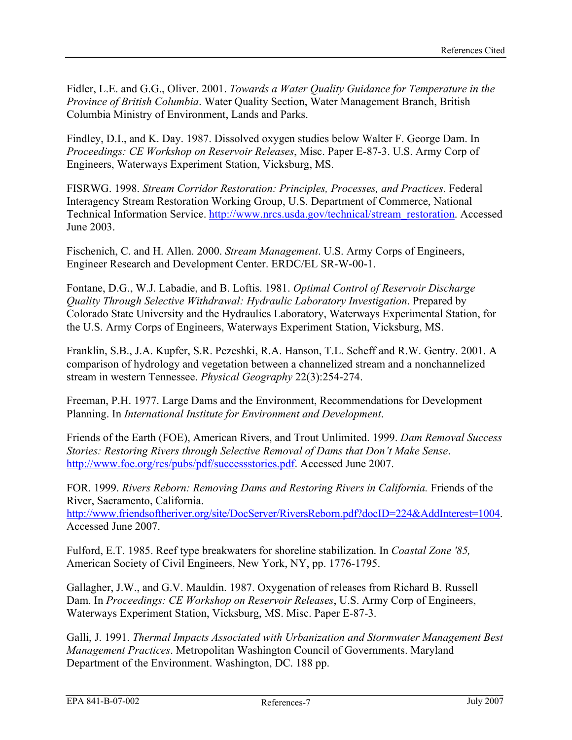Fidler, L.E. and G.G., Oliver. 2001. *Towards a Water Quality Guidance for Temperature in the Province of British Columbia*. Water Quality Section, Water Management Branch, British Columbia Ministry of Environment, Lands and Parks.

Findley, D.I., and K. Day. 1987. Dissolved oxygen studies below Walter F. George Dam. In *Proceedings: CE Workshop on Reservoir Releases*, Misc. Paper E-87-3. U.S. Army Corp of Engineers, Waterways Experiment Station, Vicksburg, MS.

FISRWG. 1998. *Stream Corridor Restoration: Principles, Processes, and Practices*. Federal Interagency Stream Restoration Working Group, U.S. Department of Commerce, National Technical Information Service. [http://www.nrcs.usda.gov/technical/stream\\_restoration.](http://www.nrcs.usda.gov/technical/stream_restoration) Accessed June 2003.

Fischenich, C. and H. Allen. 2000. *Stream Management*. U.S. Army Corps of Engineers, Engineer Research and Development Center. ERDC/EL SR-W-00-1.

Fontane, D.G., W.J. Labadie, and B. Loftis. 1981. *Optimal Control of Reservoir Discharge Quality Through Selective Withdrawal: Hydraulic Laboratory Investigation*. Prepared by Colorado State University and the Hydraulics Laboratory, Waterways Experimental Station, for the U.S. Army Corps of Engineers, Waterways Experiment Station, Vicksburg, MS.

Franklin, S.B., J.A. Kupfer, S.R. Pezeshki, R.A. Hanson, T.L. Scheff and R.W. Gentry. 2001. A comparison of hydrology and vegetation between a channelized stream and a nonchannelized stream in western Tennessee. *Physical Geography* 22(3):254-274.

Freeman, P.H. 1977. Large Dams and the Environment, Recommendations for Development Planning. In *International Institute for Environment and Development*.

Friends of the Earth (FOE), American Rivers, and Trout Unlimited. 1999. *Dam Removal Success Stories: Restoring Rivers through Selective Removal of Dams that Don't Make Sense*. [http://www.foe.org/res/pubs/pdf/successstories.pdf.](http://www.foe.org/res/pubs/pdf/successstories.pdf) Accessed June 2007.

FOR. 1999. *Rivers Reborn: Removing Dams and Restoring Rivers in California. Friends of the* River, Sacramento, California.

<http://www.friendsoftheriver.org/site/DocServer/RiversReborn.pdf?docID=224&AddInterest=1004>. Accessed June 2007.

Fulford, E.T. 1985. Reef type breakwaters for shoreline stabilization. In *Coastal Zone '85,* American Society of Civil Engineers, New York, NY, pp. 1776-1795.

Gallagher, J.W., and G.V. Mauldin. 1987. Oxygenation of releases from Richard B. Russell Dam. In *Proceedings: CE Workshop on Reservoir Releases*, U.S. Army Corp of Engineers, Waterways Experiment Station, Vicksburg, MS. Misc. Paper E-87-3.

Galli, J. 1991. *Thermal Impacts Associated with Urbanization and Stormwater Management Best Management Practices*. Metropolitan Washington Council of Governments. Maryland Department of the Environment. Washington, DC. 188 pp.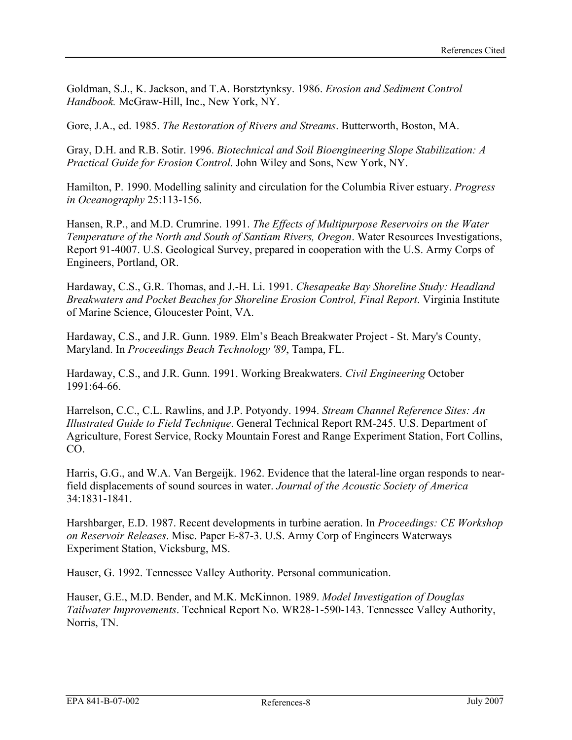Goldman, S.J., K. Jackson, and T.A. Borstztynksy. 1986. *Erosion and Sediment Control Handbook.* McGraw-Hill, Inc., New York, NY.

Gore, J.A., ed. 1985. *The Restoration of Rivers and Streams*. Butterworth, Boston, MA.

Gray, D.H. and R.B. Sotir. 1996. *Biotechnical and Soil Bioengineering Slope Stabilization: A Practical Guide for Erosion Control*. John Wiley and Sons, New York, NY.

Hamilton, P. 1990. Modelling salinity and circulation for the Columbia River estuary. *Progress in Oceanography* 25:113-156.

Hansen, R.P., and M.D. Crumrine. 1991. *The Effects of Multipurpose Reservoirs on the Water Temperature of the North and South of Santiam Rivers, Oregon*. Water Resources Investigations, Report 91-4007. U.S. Geological Survey, prepared in cooperation with the U.S. Army Corps of Engineers, Portland, OR.

Hardaway, C.S., G.R. Thomas, and J.-H. Li. 1991. *Chesapeake Bay Shoreline Study: Headland Breakwaters and Pocket Beaches for Shoreline Erosion Control, Final Report*. Virginia Institute of Marine Science, Gloucester Point, VA.

Hardaway, C.S., and J.R. Gunn. 1989. Elm's Beach Breakwater Project - St. Mary's County, Maryland. In *Proceedings Beach Technology '89*, Tampa, FL.

Hardaway, C.S., and J.R. Gunn. 1991. Working Breakwaters. *Civil Engineering* October 1991:64-66.

Harrelson, C.C., C.L. Rawlins, and J.P. Potyondy. 1994. *Stream Channel Reference Sites: An Illustrated Guide to Field Technique*. General Technical Report RM-245. U.S. Department of Agriculture, Forest Service, Rocky Mountain Forest and Range Experiment Station, Fort Collins, CO.

Harris, G.G., and W.A. Van Bergeijk. 1962. Evidence that the lateral-line organ responds to nearfield displacements of sound sources in water. *Journal of the Acoustic Society of America* 34:1831-1841.

Harshbarger, E.D. 1987. Recent developments in turbine aeration. In *Proceedings: CE Workshop on Reservoir Releases*. Misc. Paper E-87-3. U.S. Army Corp of Engineers Waterways Experiment Station, Vicksburg, MS.

Hauser, G. 1992. Tennessee Valley Authority. Personal communication.

Hauser, G.E., M.D. Bender, and M.K. McKinnon. 1989. *Model Investigation of Douglas Tailwater Improvements*. Technical Report No. WR28-1-590-143. Tennessee Valley Authority, Norris, TN.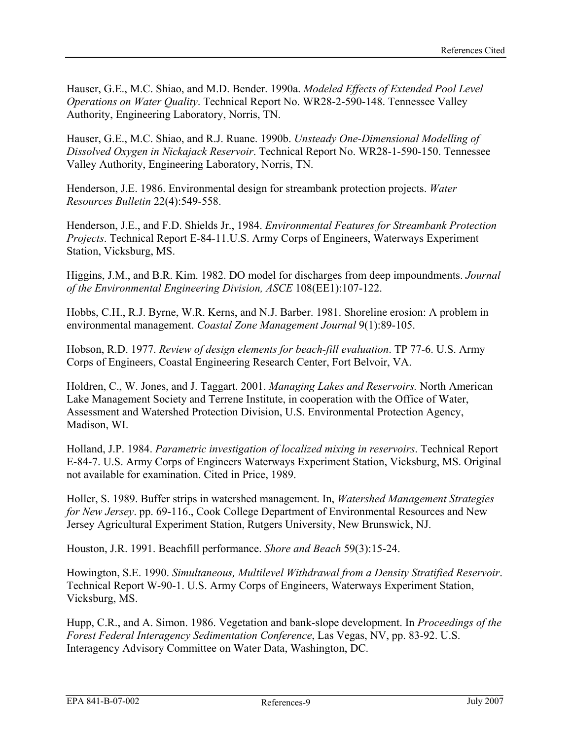Hauser, G.E., M.C. Shiao, and M.D. Bender. 1990a. *Modeled Effects of Extended Pool Level Operations on Water Quality*. Technical Report No. WR28-2-590-148. Tennessee Valley Authority, Engineering Laboratory, Norris, TN.

Hauser, G.E., M.C. Shiao, and R.J. Ruane. 1990b. *Unsteady One-Dimensional Modelling of Dissolved Oxygen in Nickajack Reservoir*. Technical Report No. WR28-1-590-150. Tennessee Valley Authority, Engineering Laboratory, Norris, TN.

Henderson, J.E. 1986. Environmental design for streambank protection projects. *Water Resources Bulletin* 22(4):549-558.

Henderson, J.E., and F.D. Shields Jr., 1984. *Environmental Features for Streambank Protection Projects*. Technical Report E-84-11.U.S. Army Corps of Engineers, Waterways Experiment Station, Vicksburg, MS.

Higgins, J.M., and B.R. Kim. 1982. DO model for discharges from deep impoundments. *Journal of the Environmental Engineering Division, ASCE* 108(EE1):107-122.

Hobbs, C.H., R.J. Byrne, W.R. Kerns, and N.J. Barber. 1981. Shoreline erosion: A problem in environmental management. *Coastal Zone Management Journal* 9(1):89-105.

Hobson, R.D. 1977. *Review of design elements for beach-fill evaluation*. TP 77-6. U.S. Army Corps of Engineers, Coastal Engineering Research Center, Fort Belvoir, VA.

Holdren, C., W. Jones, and J. Taggart. 2001. *Managing Lakes and Reservoirs.* North American Lake Management Society and Terrene Institute, in cooperation with the Office of Water, Assessment and Watershed Protection Division, U.S. Environmental Protection Agency, Madison, WI.

Holland, J.P. 1984. *Parametric investigation of localized mixing in reservoirs*. Technical Report E-84-7. U.S. Army Corps of Engineers Waterways Experiment Station, Vicksburg, MS. Original not available for examination. Cited in Price, 1989.

Holler, S. 1989. Buffer strips in watershed management. In, *Watershed Management Strategies for New Jersey*. pp. 69-116., Cook College Department of Environmental Resources and New Jersey Agricultural Experiment Station, Rutgers University, New Brunswick, NJ.

Houston, J.R. 1991. Beachfill performance. *Shore and Beach* 59(3):15-24.

Howington, S.E. 1990. *Simultaneous, Multilevel Withdrawal from a Density Stratified Reservoir*. Technical Report W-90-1. U.S. Army Corps of Engineers, Waterways Experiment Station, Vicksburg, MS.

Hupp, C.R., and A. Simon. 1986. Vegetation and bank-slope development. In *Proceedings of the Forest Federal Interagency Sedimentation Conference*, Las Vegas, NV, pp. 83-92. U.S. Interagency Advisory Committee on Water Data, Washington, DC.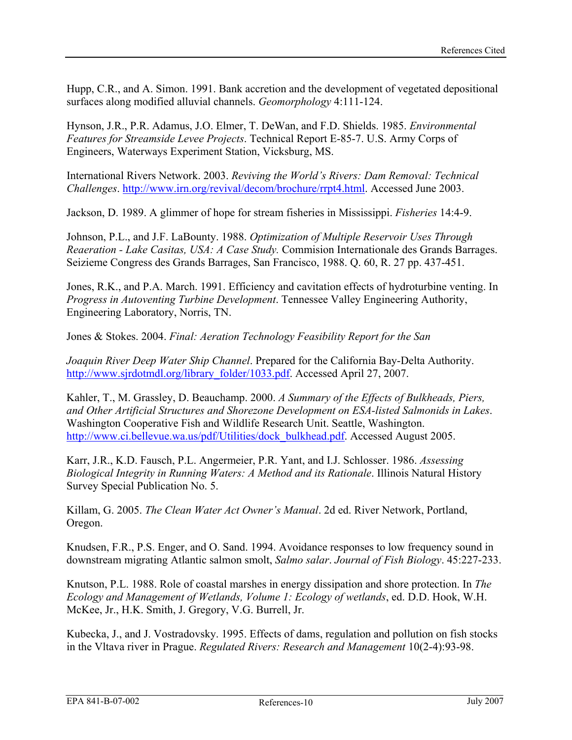Hupp, C.R., and A. Simon. 1991. Bank accretion and the development of vegetated depositional surfaces along modified alluvial channels. *Geomorphology* 4:111-124.

Hynson, J.R., P.R. Adamus, J.O. Elmer, T. DeWan, and F.D. Shields. 1985. *Environmental Features for Streamside Levee Projects*. Technical Report E-85-7. U.S. Army Corps of Engineers, Waterways Experiment Station, Vicksburg, MS.

International Rivers Network. 2003. *Reviving the World's Rivers: Dam Removal: Technical Challenges*. [http://www.irn.org/revival/decom/brochure/rrpt4.html.](http://www.irn.org/revival/decom/brochure/rrpt4.html) Accessed June 2003.

Jackson, D. 1989. A glimmer of hope for stream fisheries in Mississippi. *Fisheries* 14:4-9.

Johnson, P.L., and J.F. LaBounty. 1988. *Optimization of Multiple Reservoir Uses Through Reaeration - Lake Casitas, USA: A Case Study.* Commision Internationale des Grands Barrages. Seizieme Congress des Grands Barrages, San Francisco, 1988. Q. 60, R. 27 pp. 437-451.

Jones, R.K., and P.A. March. 1991. Efficiency and cavitation effects of hydroturbine venting. In *Progress in Autoventing Turbine Development*. Tennessee Valley Engineering Authority, Engineering Laboratory, Norris, TN.

Jones & Stokes. 2004. *Final: Aeration Technology Feasibility Report for the San* 

*Joaquin River Deep Water Ship Channel*. Prepared for the California Bay-Delta Authority. [http://www.sjrdotmdl.org/library\\_folder/1033.pdf](http://www.sjrdotmdl.org/library_folder/1033.pdf). Accessed April 27, 2007.

Kahler, T., M. Grassley, D. Beauchamp. 2000. *A Summary of the Effects of Bulkheads, Piers, and Other Artificial Structures and Shorezone Development on ESA-listed Salmonids in Lakes*. Washington Cooperative Fish and Wildlife Research Unit. Seattle, Washington. [http://www.ci.bellevue.wa.us/pdf/Utilities/dock\\_bulkhead.pdf.](http://www.ci.bellevue.wa.us/pdf/Utilities/dock_bulkhead.pdf) Accessed August 2005.

Karr, J.R., K.D. Fausch, P.L. Angermeier, P.R. Yant, and I.J. Schlosser. 1986. *Assessing Biological Integrity in Running Waters: A Method and its Rationale*. Illinois Natural History Survey Special Publication No. 5.

Killam, G. 2005. *The Clean Water Act Owner's Manual*. 2d ed. River Network, Portland, Oregon.

Knudsen, F.R., P.S. Enger, and O. Sand. 1994. Avoidance responses to low frequency sound in downstream migrating Atlantic salmon smolt, *Salmo salar*. *Journal of Fish Biology*. 45:227-233.

Knutson, P.L. 1988. Role of coastal marshes in energy dissipation and shore protection. In *The Ecology and Management of Wetlands, Volume 1: Ecology of wetlands*, ed. D.D. Hook, W.H. McKee, Jr., H.K. Smith, J. Gregory, V.G. Burrell, Jr.

Kubecka, J., and J. Vostradovsky. 1995. Effects of dams, regulation and pollution on fish stocks in the Vltava river in Prague. *Regulated Rivers: Research and Management* 10(2-4):93-98.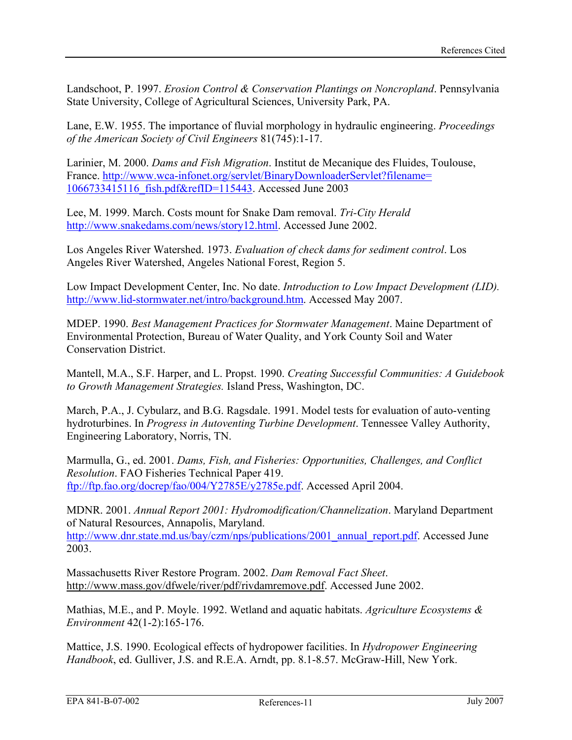Landschoot, P. 1997. *Erosion Control & Conservation Plantings on Noncropland*. Pennsylvania State University, College of Agricultural Sciences, University Park, PA.

Lane, E.W. 1955. The importance of fluvial morphology in hydraulic engineering. *Proceedings of the American Society of Civil Engineers* 81(745):1-17.

Larinier, M. 2000. *Dams and Fish Migration*. Institut de Mecanique des Fluides, Toulouse, France. [http://www.wca-infonet.org/servlet/BinaryDownloaderServlet?filename=](http://www.wca-infonet.org/servlet/BinaryDownloaderServlet?filename=1066733415116_fish.pdf&refID=115443) [1066733415116\\_fish.pdf&refID=115443](http://www.wca-infonet.org/servlet/BinaryDownloaderServlet?filename=1066733415116_fish.pdf&refID=115443). Accessed June 2003

Lee, M. 1999. March. Costs mount for Snake Dam removal. *Tri-City Herald*  [http://www.snakedams.com/news/story12.html.](http://www.snakedams.com/news/story12.html) Accessed June 2002.

Los Angeles River Watershed. 1973. *Evaluation of check dams for sediment control*. Los Angeles River Watershed, Angeles National Forest, Region 5.

Low Impact Development Center, Inc. No date. *Introduction to Low Impact Development (LID).*  [http://www.lid-stormwater.net/intro/background.htm.](http://www.lid-stormwater.net/intro/background.htm) Accessed May 2007.

MDEP. 1990. *Best Management Practices for Stormwater Management*. Maine Department of Environmental Protection, Bureau of Water Quality, and York County Soil and Water Conservation District.

Mantell, M.A., S.F. Harper, and L. Propst. 1990. *Creating Successful Communities: A Guidebook to Growth Management Strategies.* Island Press, Washington, DC.

March, P.A., J. Cybularz, and B.G. Ragsdale. 1991. Model tests for evaluation of auto-venting hydroturbines. In *Progress in Autoventing Turbine Development*. Tennessee Valley Authority, Engineering Laboratory, Norris, TN.

Marmulla, G., ed. 2001. *Dams, Fish, and Fisheries: Opportunities, Challenges, and Conflict Resolution*. FAO Fisheries Technical Paper 419. <ftp://ftp.fao.org/docrep/fao/004/Y2785E/y2785e.pdf>. Accessed April 2004.

MDNR. 2001. *Annual Report 2001: Hydromodification/Channelization*. Maryland Department of Natural Resources, Annapolis, Maryland. [http://www.dnr.state.md.us/bay/czm/nps/publications/2001\\_annual\\_report.pdf.](http://www.dnr.state.md.us/bay/czm/nps/publications/2001_annual_report.pdf) Accessed June 2003.

Massachusetts River Restore Program. 2002. *Dam Removal Fact Sheet*. http://www.mass.gov/dfwele/river/pdf/rivdamremove.pdf. Accessed June 2002.

Mathias, M.E., and P. Moyle. 1992. Wetland and aquatic habitats. *Agriculture Ecosystems & Environment* 42(1-2):165-176.

Mattice, J.S. 1990. Ecological effects of hydropower facilities. In *Hydropower Engineering Handbook*, ed. Gulliver, J.S. and R.E.A. Arndt, pp. 8.1-8.57. McGraw-Hill, New York.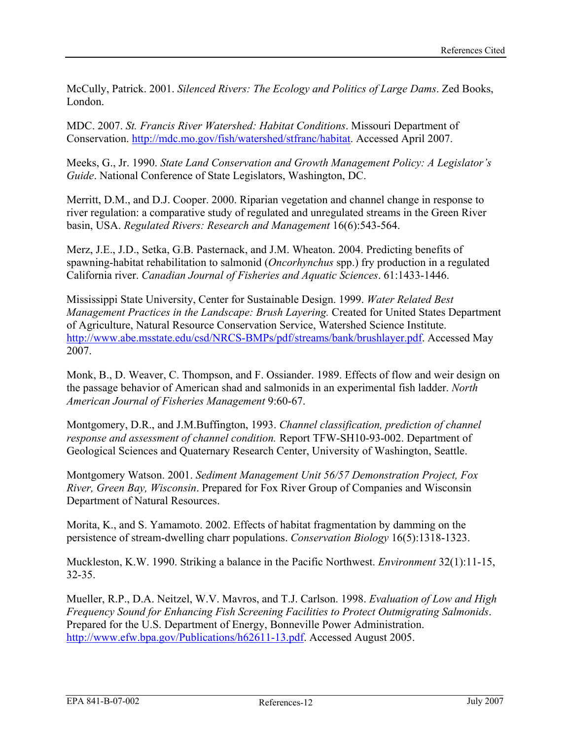McCully, Patrick. 2001. *Silenced Rivers: The Ecology and Politics of Large Dams*. Zed Books, London.

MDC. 2007. *St. Francis River Watershed: Habitat Conditions*. Missouri Department of Conservation.<http://mdc.mo.gov/fish/watershed/stfranc/habitat>. Accessed April 2007.

Meeks, G., Jr. 1990. *State Land Conservation and Growth Management Policy: A Legislator's Guide*. National Conference of State Legislators, Washington, DC.

Merritt, D.M., and D.J. Cooper. 2000. Riparian vegetation and channel change in response to river regulation: a comparative study of regulated and unregulated streams in the Green River basin, USA. *Regulated Rivers: Research and Management* 16(6):543-564.

Merz, J.E., J.D., Setka, G.B. Pasternack, and J.M. Wheaton. 2004. Predicting benefits of spawning-habitat rehabilitation to salmonid (*Oncorhynchus* spp.) fry production in a regulated California river. *Canadian Journal of Fisheries and Aquatic Sciences*. 61:1433-1446.

Mississippi State University, Center for Sustainable Design. 1999. *Water Related Best Management Practices in the Landscape: Brush Layering.* Created for United States Department of Agriculture, Natural Resource Conservation Service, Watershed Science Institute. [http://www.abe.msstate.edu/csd/NRCS-BMPs/pdf/streams/bank/brushlayer.pdf.](http://www.abe.msstate.edu/csd/NRCS-BMPs/pdf/streams/bank/brushlayer.pdf) Accessed May 2007.

Monk, B., D. Weaver, C. Thompson, and F. Ossiander. 1989. Effects of flow and weir design on the passage behavior of American shad and salmonids in an experimental fish ladder. *North American Journal of Fisheries Management* 9:60-67.

Montgomery, D.R., and J.M.Buffington, 1993. *Channel classification, prediction of channel response and assessment of channel condition.* Report TFW-SH10-93-002. Department of Geological Sciences and Quaternary Research Center, University of Washington, Seattle.

Montgomery Watson. 2001. *Sediment Management Unit 56/57 Demonstration Project, Fox River, Green Bay, Wisconsin*. Prepared for Fox River Group of Companies and Wisconsin Department of Natural Resources.

Morita, K., and S. Yamamoto. 2002. Effects of habitat fragmentation by damming on the persistence of stream-dwelling charr populations. *Conservation Biology* 16(5):1318-1323.

Muckleston, K.W. 1990. Striking a balance in the Pacific Northwest. *Environment* 32(1):11-15, 32-35.

Mueller, R.P., D.A. Neitzel, W.V. Mavros, and T.J. Carlson. 1998. *Evaluation of Low and High Frequency Sound for Enhancing Fish Screening Facilities to Protect Outmigrating Salmonids*. Prepared for the U.S. Department of Energy, Bonneville Power Administration. <http://www.efw.bpa.gov/Publications/h62611-13.pdf>. Accessed August 2005.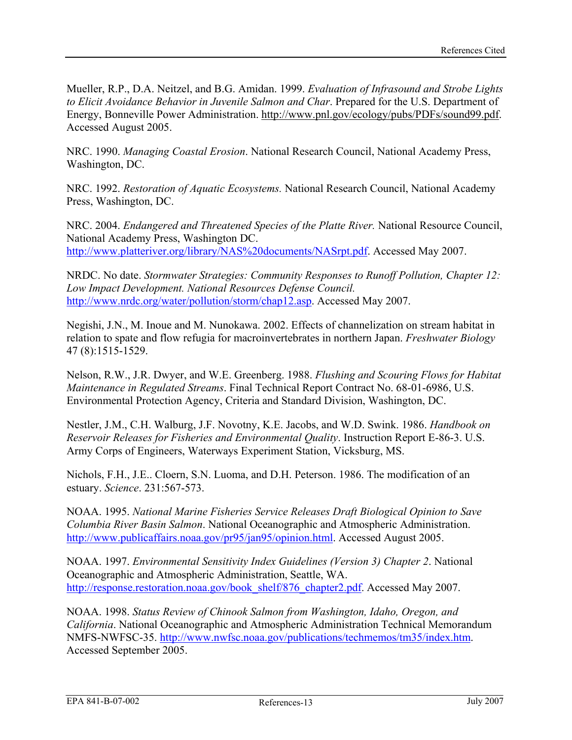Mueller, R.P., D.A. Neitzel, and B.G. Amidan. 1999. *Evaluation of Infrasound and Strobe Lights to Elicit Avoidance Behavior in Juvenile Salmon and Char*. Prepared for the U.S. Department of Energy, Bonneville Power Administration. http://www.pnl.gov/ecology/pubs/PDFs/sound99.pdf. Accessed August 2005.

NRC. 1990. *Managing Coastal Erosion*. National Research Council, National Academy Press, Washington, DC.

NRC. 1992. *Restoration of Aquatic Ecosystems.* National Research Council, National Academy Press, Washington, DC.

NRC. 2004. *Endangered and Threatened Species of the Platte River.* National Resource Council, National Academy Press, Washington DC. [http://www.platteriver.org/library/NAS%20documents/NASrpt.pdf.](http://www.platteriver.org/library/NAS%20documents/NASrpt.pdf) Accessed May 2007.

NRDC. No date. *Stormwater Strategies: Community Responses to Runoff Pollution, Chapter 12: Low Impact Development. National Resources Defense Council.*  [http://www.nrdc.org/water/pollution/storm/chap12.asp.](http://www.nrdc.org/water/pollution/storm/chap12.asp) Accessed May 2007.

Negishi, J.N., M. Inoue and M. Nunokawa. 2002. Effects of channelization on stream habitat in relation to spate and flow refugia for macroinvertebrates in northern Japan. *Freshwater Biology* 47 (8):1515-1529.

Nelson, R.W., J.R. Dwyer, and W.E. Greenberg. 1988. *Flushing and Scouring Flows for Habitat Maintenance in Regulated Streams*. Final Technical Report Contract No. 68-01-6986, U.S. Environmental Protection Agency, Criteria and Standard Division, Washington, DC.

Nestler, J.M., C.H. Walburg, J.F. Novotny, K.E. Jacobs, and W.D. Swink. 1986. *Handbook on Reservoir Releases for Fisheries and Environmental Quality*. Instruction Report E-86-3. U.S. Army Corps of Engineers, Waterways Experiment Station, Vicksburg, MS.

Nichols, F.H., J.E.. Cloern, S.N. Luoma, and D.H. Peterson. 1986. The modification of an estuary. *Science*. 231:567-573.

NOAA. 1995. *National Marine Fisheries Service Releases Draft Biological Opinion to Save Columbia River Basin Salmon*. National Oceanographic and Atmospheric Administration. [http://www.publicaffairs.noaa.gov/pr95/jan95/opinion.html.](http://www.publicaffairs.noaa.gov/pr95/jan95/opinion.html) Accessed August 2005.

NOAA. 1997. *Environmental Sensitivity Index Guidelines (Version 3) Chapter 2*. National Oceanographic and Atmospheric Administration, Seattle, WA. [http://response.restoration.noaa.gov/book\\_shelf/876\\_chapter2.pdf](http://response.restoration.noaa.gov/book_shelf/876_chapter2.pdf). Accessed May 2007.

NOAA. 1998. *Status Review of Chinook Salmon from Washington, Idaho, Oregon, and California*. National Oceanographic and Atmospheric Administration Technical Memorandum NMFS-NWFSC-35. [http://www.nwfsc.noaa.gov/publications/techmemos/tm35/index.htm.](http://www.nwfsc.noaa.gov/publications/techmemos/tm35/index.htm) Accessed September 2005.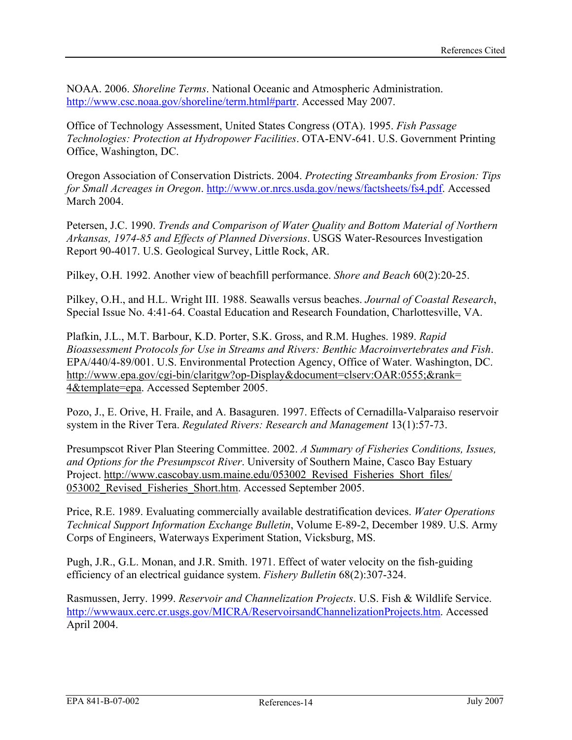NOAA. 2006. *Shoreline Terms*. National Oceanic and Atmospheric Administration. <http://www.csc.noaa.gov/shoreline/term.html#partr>. Accessed May 2007.

Office of Technology Assessment, United States Congress (OTA). 1995. *Fish Passage Technologies: Protection at Hydropower Facilities*. OTA-ENV-641. U.S. Government Printing Office, Washington, DC.

Oregon Association of Conservation Districts. 2004. *Protecting Streambanks from Erosion: Tips for Small Acreages in Oregon*. [http://www.or.nrcs.usda.gov/news/factsheets/fs4.pdf.](http://www.or.nrcs.usda.gov/news/factsheets/fs4.pdf) Accessed March 2004.

Petersen, J.C. 1990. *Trends and Comparison of Water Quality and Bottom Material of Northern Arkansas, 1974-85 and Effects of Planned Diversions*. USGS Water-Resources Investigation Report 90-4017. U.S. Geological Survey, Little Rock, AR.

Pilkey, O.H. 1992. Another view of beachfill performance. *Shore and Beach* 60(2):20-25.

Pilkey, O.H., and H.L. Wright III. 1988. Seawalls versus beaches. *Journal of Coastal Research*, Special Issue No. 4:41-64. Coastal Education and Research Foundation, Charlottesville, VA.

Plafkin, J.L., M.T. Barbour, K.D. Porter, S.K. Gross, and R.M. Hughes. 1989. *Rapid Bioassessment Protocols for Use in Streams and Rivers: Benthic Macroinvertebrates and Fish*. EPA/440/4-89/001. U.S. Environmental Protection Agency, Office of Water. Washington, DC. http://www.epa.gov/cgi-bin/claritgw?op-Display&document=clserv:OAR:0555;&rank= 4&template=epa. Accessed September 2005.

Pozo, J., E. Orive, H. Fraile, and A. Basaguren. 1997. Effects of Cernadilla-Valparaiso reservoir system in the River Tera. *Regulated Rivers: Research and Management* 13(1):57-73.

Presumpscot River Plan Steering Committee. 2002. *A Summary of Fisheries Conditions, Issues, and Options for the Presumpscot River*. University of Southern Maine, Casco Bay Estuary Project. http://www.cascobay.usm.maine.edu/053002 Revised Fisheries Short files/ 053002 Revised Fisheries Short.htm. Accessed September 2005.

Price, R.E. 1989. Evaluating commercially available destratification devices. *Water Operations Technical Support Information Exchange Bulletin*, Volume E-89-2, December 1989. U.S. Army Corps of Engineers, Waterways Experiment Station, Vicksburg, MS.

Pugh, J.R., G.L. Monan, and J.R. Smith. 1971. Effect of water velocity on the fish-guiding efficiency of an electrical guidance system. *Fishery Bulletin* 68(2):307-324.

Rasmussen, Jerry. 1999. *Reservoir and Channelization Projects*. U.S. Fish & Wildlife Service. [http://wwwaux.cerc.cr.usgs.gov/MICRA/ReservoirsandChannelizationProjects.htm.](http://wwwaux.cerc.cr.usgs.gov/MICRA/ReservoirsandChannelizationProjects.htm) Accessed April 2004.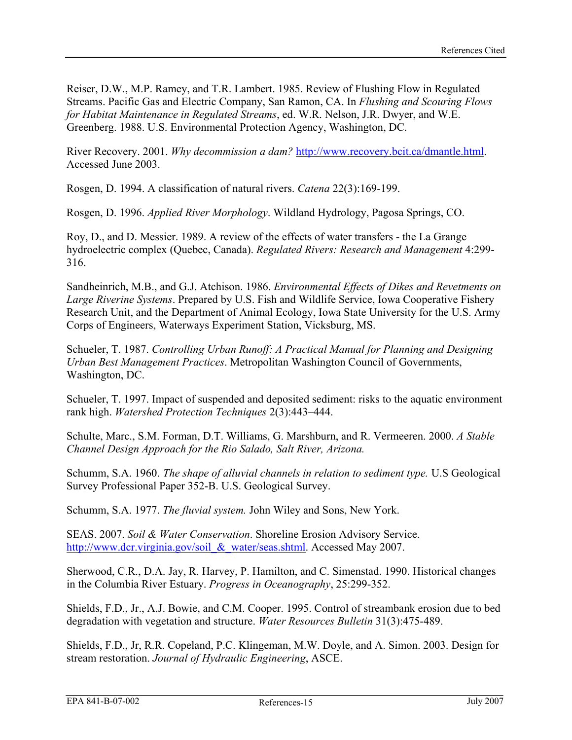Reiser, D.W., M.P. Ramey, and T.R. Lambert. 1985. Review of Flushing Flow in Regulated Streams. Pacific Gas and Electric Company, San Ramon, CA. In *Flushing and Scouring Flows for Habitat Maintenance in Regulated Streams*, ed. W.R. Nelson, J.R. Dwyer, and W.E. Greenberg. 1988. U.S. Environmental Protection Agency, Washington, DC.

River Recovery. 2001. *Why decommission a dam?* <http://www.recovery.bcit.ca/dmantle.html>. Accessed June 2003.

Rosgen, D. 1994. A classification of natural rivers. *Catena* 22(3):169-199.

Rosgen, D. 1996. *Applied River Morphology*. Wildland Hydrology, Pagosa Springs, CO.

Roy, D., and D. Messier. 1989. A review of the effects of water transfers - the La Grange hydroelectric complex (Quebec, Canada). *Regulated Rivers: Research and Management* 4:299- 316.

Sandheinrich, M.B., and G.J. Atchison. 1986. *Environmental Effects of Dikes and Revetments on Large Riverine Systems*. Prepared by U.S. Fish and Wildlife Service, Iowa Cooperative Fishery Research Unit, and the Department of Animal Ecology, Iowa State University for the U.S. Army Corps of Engineers, Waterways Experiment Station, Vicksburg, MS.

Schueler, T. 1987. *Controlling Urban Runoff: A Practical Manual for Planning and Designing Urban Best Management Practices*. Metropolitan Washington Council of Governments, Washington, DC.

Schueler, T. 1997. Impact of suspended and deposited sediment: risks to the aquatic environment rank high. *Watershed Protection Techniques* 2(3):443–444.

Schulte, Marc., S.M. Forman, D.T. Williams, G. Marshburn, and R. Vermeeren. 2000. *A Stable Channel Design Approach for the Rio Salado, Salt River, Arizona.* 

Schumm, S.A. 1960. *The shape of alluvial channels in relation to sediment type.* U.S Geological Survey Professional Paper 352-B. U.S. Geological Survey.

Schumm, S.A. 1977. *The fluvial system.* John Wiley and Sons, New York.

SEAS. 2007. *Soil & Water Conservation*. Shoreline Erosion Advisory Service. http://www.dcr.virginia.gov/soil & water/seas.shtml. Accessed May 2007.

Sherwood, C.R., D.A. Jay, R. Harvey, P. Hamilton, and C. Simenstad. 1990. Historical changes in the Columbia River Estuary. *Progress in Oceanography*, 25:299-352.

Shields, F.D., Jr., A.J. Bowie, and C.M. Cooper. 1995. Control of streambank erosion due to bed degradation with vegetation and structure. *Water Resources Bulletin* 31(3):475-489.

Shields, F.D., Jr, R.R. Copeland, P.C. Klingeman, M.W. Doyle, and A. Simon. 2003. Design for stream restoration. *Journal of Hydraulic Engineering*, ASCE.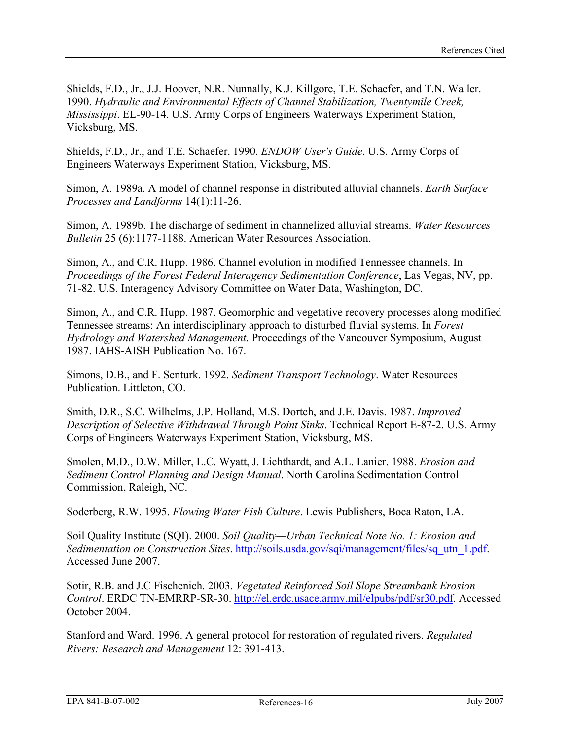Shields, F.D., Jr., J.J. Hoover, N.R. Nunnally, K.J. Killgore, T.E. Schaefer, and T.N. Waller. 1990. *Hydraulic and Environmental Effects of Channel Stabilization, Twentymile Creek, Mississippi*. EL-90-14. U.S. Army Corps of Engineers Waterways Experiment Station, Vicksburg, MS.

Shields, F.D., Jr., and T.E. Schaefer. 1990. *ENDOW User's Guide*. U.S. Army Corps of Engineers Waterways Experiment Station, Vicksburg, MS.

Simon, A. 1989a. A model of channel response in distributed alluvial channels. *Earth Surface Processes and Landforms* 14(1):11-26.

Simon, A. 1989b. The discharge of sediment in channelized alluvial streams. *Water Resources Bulletin* 25 (6):1177-1188. American Water Resources Association.

Simon, A., and C.R. Hupp. 1986. Channel evolution in modified Tennessee channels. In *Proceedings of the Forest Federal Interagency Sedimentation Conference*, Las Vegas, NV, pp. 71-82. U.S. Interagency Advisory Committee on Water Data, Washington, DC.

Simon, A., and C.R. Hupp. 1987. Geomorphic and vegetative recovery processes along modified Tennessee streams: An interdisciplinary approach to disturbed fluvial systems. In *Forest Hydrology and Watershed Management*. Proceedings of the Vancouver Symposium, August 1987. IAHS-AISH Publication No. 167.

Simons, D.B., and F. Senturk. 1992. *Sediment Transport Technology*. Water Resources Publication. Littleton, CO.

Smith, D.R., S.C. Wilhelms, J.P. Holland, M.S. Dortch, and J.E. Davis. 1987. *Improved Description of Selective Withdrawal Through Point Sinks*. Technical Report E-87-2. U.S. Army Corps of Engineers Waterways Experiment Station, Vicksburg, MS.

Smolen, M.D., D.W. Miller, L.C. Wyatt, J. Lichthardt, and A.L. Lanier. 1988. *Erosion and Sediment Control Planning and Design Manual*. North Carolina Sedimentation Control Commission, Raleigh, NC.

Soderberg, R.W. 1995. *Flowing Water Fish Culture*. Lewis Publishers, Boca Raton, LA.

Soil Quality Institute (SQI). 2000. *Soil Quality—Urban Technical Note No. 1: Erosion and Sedimentation on Construction Sites.* [http://soils.usda.gov/sqi/management/files/sq\\_utn\\_1.pdf](http://soils.usda.gov/sqi/management/files/sq_utn_1.pdf). Accessed June 2007.

Sotir, R.B. and J.C Fischenich. 2003. *Vegetated Reinforced Soil Slope Streambank Erosion Control*. ERDC TN-EMRRP-SR-30. <http://el.erdc.usace.army.mil/elpubs/pdf/sr30.pdf>. Accessed October 2004.

Stanford and Ward. 1996. A general protocol for restoration of regulated rivers. *Regulated Rivers: Research and Management* 12: 391-413.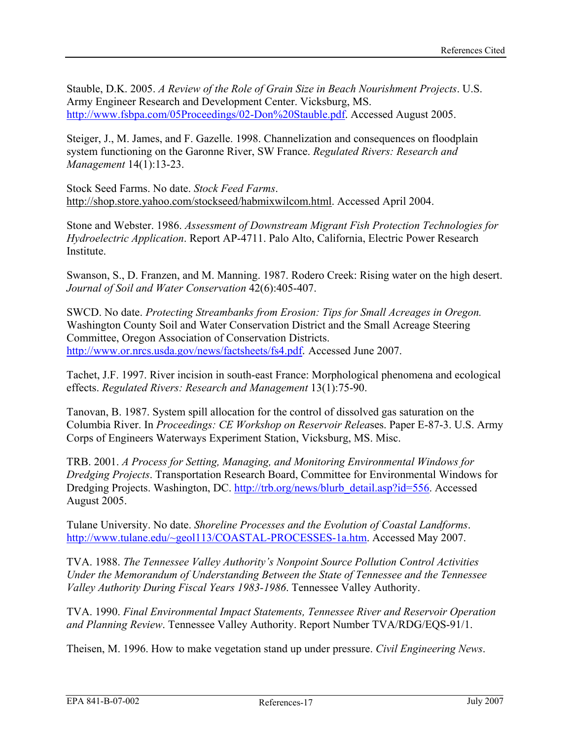Stauble, D.K. 2005. *A Review of the Role of Grain Size in Beach Nourishment Projects*. U.S. Army Engineer Research and Development Center. Vicksburg, MS. [http://www.fsbpa.com/05Proceedings/02-Don%20Stauble.pdf.](http://www.fsbpa.com/05Proceedings/02-Don%20Stauble.pdf) Accessed August 2005.

Steiger, J., M. James, and F. Gazelle. 1998. Channelization and consequences on floodplain system functioning on the Garonne River, SW France. *Regulated Rivers: Research and Management* 14(1):13-23.

Stock Seed Farms. No date. *Stock Feed Farms*. http://shop.store.yahoo.com/stockseed/habmixwilcom.html. Accessed April 2004.

Stone and Webster. 1986. *Assessment of Downstream Migrant Fish Protection Technologies for Hydroelectric Application*. Report AP-4711. Palo Alto, California, Electric Power Research Institute.

Swanson, S., D. Franzen, and M. Manning. 1987. Rodero Creek: Rising water on the high desert. *Journal of Soil and Water Conservation* 42(6):405-407.

SWCD. No date. *Protecting Streambanks from Erosion: Tips for Small Acreages in Oregon.* Washington County Soil and Water Conservation District and the Small Acreage Steering Committee, Oregon Association of Conservation Districts. <http://www.or.nrcs.usda.gov/news/factsheets/fs4.pdf>. Accessed June 2007.

Tachet, J.F. 1997. River incision in south-east France: Morphological phenomena and ecological effects. *Regulated Rivers: Research and Management* 13(1):75-90.

Tanovan, B. 1987. System spill allocation for the control of dissolved gas saturation on the Columbia River. In *Proceedings: CE Workshop on Reservoir Relea*ses. Paper E-87-3. U.S. Army Corps of Engineers Waterways Experiment Station, Vicksburg, MS. Misc.

TRB. 2001. *A Process for Setting, Managing, and Monitoring Environmental Windows for Dredging Projects*. Transportation Research Board, Committee for Environmental Windows for Dredging Projects. Washington, DC. [http://trb.org/news/blurb\\_detail.asp?id=556.](http://trb.org/news/blurb_detail.asp?id=556) Accessed August 2005.

Tulane University. No date. *Shoreline Processes and the Evolution of Coastal Landforms*. [http://www.tulane.edu/~geol113/COASTAL-PROCESSES-1a.htm.](http://www.tulane.edu/%7Egeol113/COASTAL-PROCESSES-1a.htm) Accessed May 2007.

TVA. 1988. *The Tennessee Valley Authority's Nonpoint Source Pollution Control Activities Under the Memorandum of Understanding Between the State of Tennessee and the Tennessee Valley Authority During Fiscal Years 1983-1986*. Tennessee Valley Authority.

TVA. 1990. *Final Environmental Impact Statements, Tennessee River and Reservoir Operation and Planning Review*. Tennessee Valley Authority. Report Number TVA/RDG/EQS-91/1.

Theisen, M. 1996. How to make vegetation stand up under pressure. *Civil Engineering News*.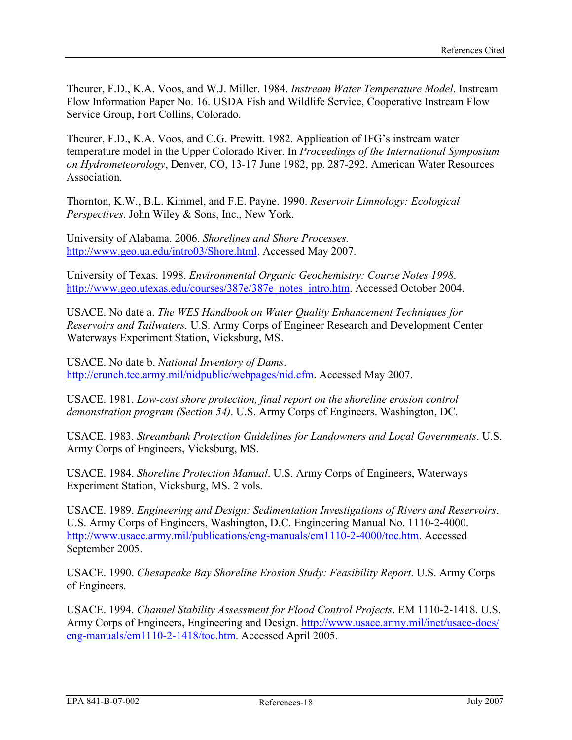Theurer, F.D., K.A. Voos, and W.J. Miller. 1984. *Instream Water Temperature Model*. Instream Flow Information Paper No. 16. USDA Fish and Wildlife Service, Cooperative Instream Flow Service Group, Fort Collins, Colorado.

Theurer, F.D., K.A. Voos, and C.G. Prewitt. 1982. Application of IFG's instream water temperature model in the Upper Colorado River. In *Proceedings of the International Symposium on Hydrometeorology*, Denver, CO, 13-17 June 1982, pp. 287-292. American Water Resources **Association** 

Thornton, K.W., B.L. Kimmel, and F.E. Payne. 1990. *Reservoir Limnology: Ecological Perspectives*. John Wiley & Sons, Inc., New York.

University of Alabama. 2006. *Shorelines and Shore Processes.*  <http://www.geo.ua.edu/intro03/Shore.html>. Accessed May 2007.

University of Texas. 1998. *Environmental Organic Geochemistry: Course Notes 1998*. [http://www.geo.utexas.edu/courses/387e/387e\\_notes\\_intro.htm](http://www.geo.utexas.edu/courses/387e/387e_notes_intro.htm). Accessed October 2004.

USACE. No date a. *The WES Handbook on Water Quality Enhancement Techniques for Reservoirs and Tailwaters.* U.S. Army Corps of Engineer Research and Development Center Waterways Experiment Station, Vicksburg, MS.

USACE. No date b. *National Inventory of Dams*. [http://crunch.tec.army.mil/nidpublic/webpages/nid.cfm.](http://crunch.tec.army.mil/nidpublic/webpages/nid.cfm) Accessed May 2007.

USACE. 1981. *Low-cost shore protection, final report on the shoreline erosion control demonstration program (Section 54)*. U.S. Army Corps of Engineers. Washington, DC.

USACE. 1983. *Streambank Protection Guidelines for Landowners and Local Governments*. U.S. Army Corps of Engineers, Vicksburg, MS.

USACE. 1984. *Shoreline Protection Manual*. U.S. Army Corps of Engineers, Waterways Experiment Station, Vicksburg, MS. 2 vols.

USACE. 1989. *Engineering and Design: Sedimentation Investigations of Rivers and Reservoirs*. U.S. Army Corps of Engineers, Washington, D.C. Engineering Manual No. 1110-2-4000. [http://www.usace.army.mil/publications/eng-manuals/em1110-2-4000/toc.htm.](http://www.usace.army.mil/publications/eng-manuals/em1110-2-4000/toc.htm) Accessed September 2005.

USACE. 1990. *Chesapeake Bay Shoreline Erosion Study: Feasibility Report*. U.S. Army Corps of Engineers.

USACE. 1994. *Channel Stability Assessment for Flood Control Projects*. EM 1110-2-1418. U.S. Army Corps of Engineers, Engineering and Design. [http://www.usace.army.mil/inet/usace-docs/](http://www.usace.army.mil/inet/usace-docs/eng-manuals/em1110-2-1418/toc.htm) [eng-manuals/em1110-2-1418/toc.htm](http://www.usace.army.mil/inet/usace-docs/eng-manuals/em1110-2-1418/toc.htm). Accessed April 2005.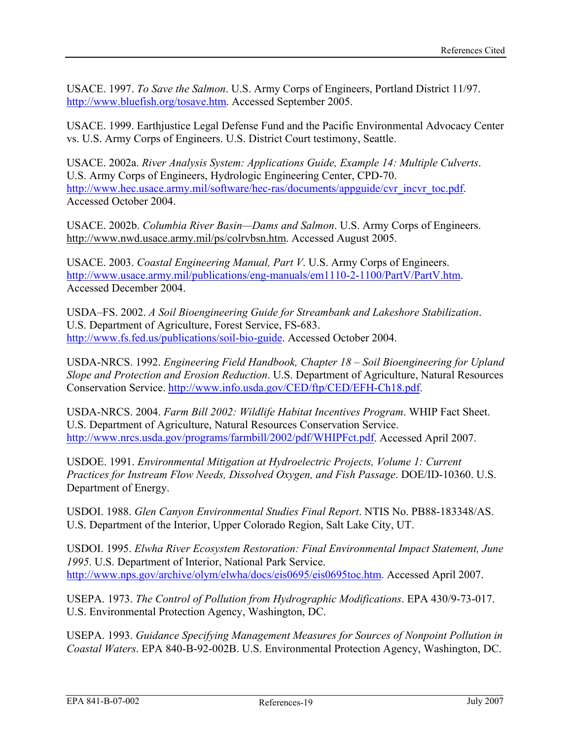USACE. 1997. *To Save the Salmon*. U.S. Army Corps of Engineers, Portland District 11/97. <http://www.bluefish.org/tosave.htm>. Accessed September 2005.

USACE. 1999. Earthjustice Legal Defense Fund and the Pacific Environmental Advocacy Center vs. U.S. Army Corps of Engineers. U.S. District Court testimony, Seattle.

USACE. 2002a. *River Analysis System: Applications Guide, Example 14: Multiple Culverts*. U.S. Army Corps of Engineers, Hydrologic Engineering Center, CPD-70. [http://www.hec.usace.army.mil/software/hec-ras/documents/appguide/cvr\\_incvr\\_toc.pdf](http://www.hec.usace.army.mil/software/hec-ras/documents/appguide/cvr_incvr_toc.pdf). Accessed October 2004.

USACE. 2002b. *Columbia River Basin—Dams and Salmon*. U.S. Army Corps of Engineers. http://www.nwd.usace.army.mil/ps/colrvbsn.htm. Accessed August 2005.

USACE. 2003. *Coastal Engineering Manual, Part V*. U.S. Army Corps of Engineers. <http://www.usace.army.mil/publications/eng-manuals/em1110-2-1100/PartV/PartV.htm>. Accessed December 2004.

USDA–FS. 2002. *A Soil Bioengineering Guide for Streambank and Lakeshore Stabilization*. U.S. Department of Agriculture, Forest Service, FS-683. <http://www.fs.fed.us/publications/soil-bio-guide>. Accessed October 2004.

USDA-NRCS. 1992. *Engineering Field Handbook, Chapter 18 – Soil Bioengineering for Upland Slope and Protection and Erosion Reduction*. U.S. Department of Agriculture, Natural Resources Conservation Service. [http://www.info.usda.gov/CED/ftp/CED/EFH-Ch18.pdf.](http://www.info.usda.gov/CED/ftp/CED/EFH-Ch18.pdf)

USDA-NRCS. 2004. *Farm Bill 2002: Wildlife Habitat Incentives Program*. WHIP Fact Sheet. U.S. Department of Agriculture, Natural Resources Conservation Service. [http://www.nrcs.usda.gov/programs/farmbill/2002/pdf/WHIPFct.pdf.](http://www.nrcs.usda.gov/programs/farmbill/2002/pdf/WHIPFct.pdf) Accessed April 2007.

USDOE. 1991. *Environmental Mitigation at Hydroelectric Projects, Volume 1: Current Practices for Instream Flow Needs, Dissolved Oxygen, and Fish Passage*. DOE/ID-10360. U.S. Department of Energy.

USDOI. 1988. *Glen Canyon Environmental Studies Final Report*. NTIS No. PB88-183348/AS. U.S. Department of the Interior, Upper Colorado Region, Salt Lake City, UT.

USDOI. 1995. *Elwha River Ecosystem Restoration: Final Environmental Impact Statement, June 1995*. U.S. Department of Interior, National Park Service. <http://www.nps.gov/archive/olym/elwha/docs/eis0695/eis0695toc.htm>. Accessed April 2007.

USEPA. 1973. *The Control of Pollution from Hydrographic Modifications*. EPA 430/9-73-017. U.S. Environmental Protection Agency, Washington, DC.

USEPA. 1993. *Guidance Specifying Management Measures for Sources of Nonpoint Pollution in Coastal Waters*. EPA 840-B-92-002B. U.S. Environmental Protection Agency, Washington, DC.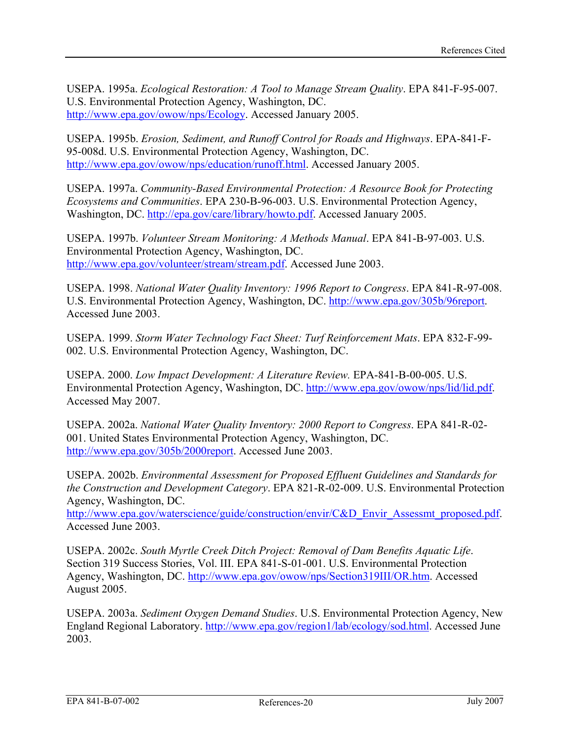USEPA. 1995a. *Ecological Restoration: A Tool to Manage Stream Quality*. EPA 841-F-95-007. U.S. Environmental Protection Agency, Washington, DC. [http://www.epa.gov/owow/nps/Ecology.](http://www.epa.gov/owow/nps/Ecology) Accessed January 2005.

USEPA. 1995b. *Erosion, Sediment, and Runoff Control for Roads and Highways*. EPA-841-F-95-008d. U.S. Environmental Protection Agency, Washington, DC. [http://www.epa.gov/owow/nps/education/runoff.html.](http://www.epa.gov/owow/nps/education/runoff.html) Accessed January 2005.

USEPA. 1997a. *Community-Based Environmental Protection: A Resource Book for Protecting Ecosystems and Communities*. EPA 230-B-96-003. U.S. Environmental Protection Agency, Washington, DC. <http://epa.gov/care/library/howto.pdf>. Accessed January 2005.

USEPA. 1997b. *Volunteer Stream Monitoring: A Methods Manual*. EPA 841-B-97-003. U.S. Environmental Protection Agency, Washington, DC. [http://www.epa.gov/volunteer/stream/stream.pdf.](http://www.epa.gov/volunteer/stream/stream.pdf) Accessed June 2003.

USEPA. 1998. *National Water Quality Inventory: 1996 Report to Congress*. EPA 841-R-97-008. U.S. Environmental Protection Agency, Washington, DC. [http://www.epa.gov/305b/96report.](http://www.epa.gov/305b/96report) Accessed June 2003.

USEPA. 1999. *Storm Water Technology Fact Sheet: Turf Reinforcement Mats*. EPA 832-F-99- 002. U.S. Environmental Protection Agency, Washington, DC.

USEPA. 2000. *Low Impact Development: A Literature Review.* EPA-841-B-00-005. U.S. Environmental Protection Agency, Washington, DC. [http://www.epa.gov/owow/nps/lid/lid.pdf.](http://www.epa.gov/owow/nps/lid/lid.pdf) Accessed May 2007.

USEPA. 2002a. *National Water Quality Inventory: 2000 Report to Congress*. EPA 841-R-02- 001. United States Environmental Protection Agency, Washington, DC. [http://www.epa.gov/305b/2000report.](http://www.epa.gov/305b/2000report) Accessed June 2003.

USEPA. 2002b. *Environmental Assessment for Proposed Effluent Guidelines and Standards for the Construction and Development Category*. EPA 821-R-02-009. U.S. Environmental Protection Agency, Washington, DC.

[http://www.epa.gov/waterscience/guide/construction/envir/C&D\\_Envir\\_Assessmt\\_proposed.pdf.](http://www.epa.gov/waterscience/guide/construction/envir/C&D_Envir_Assessmt_proposed.pdf) Accessed June 2003.

USEPA. 2002c. *South Myrtle Creek Ditch Project: Removal of Dam Benefits Aquatic Life*. Section 319 Success Stories, Vol. III. EPA 841-S-01-001. U.S. Environmental Protection Agency, Washington, DC.<http://www.epa.gov/owow/nps/Section319III/OR.htm>. Accessed August 2005.

USEPA. 2003a. *Sediment Oxygen Demand Studies*. U.S. Environmental Protection Agency, New England Regional Laboratory. [http://www.epa.gov/region1/lab/ecology/sod.html.](http://www.epa.gov/region1/lab/ecology/sod.html) Accessed June 2003.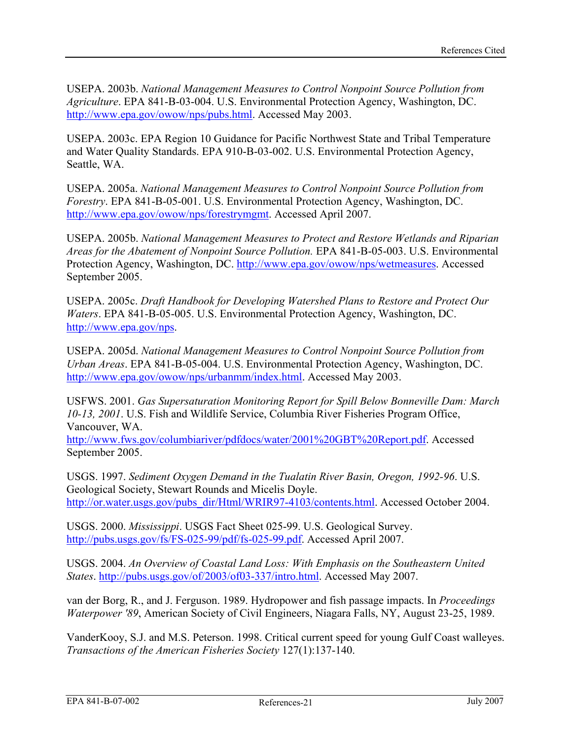USEPA. 2003b. *National Management Measures to Control Nonpoint Source Pollution from Agriculture*. EPA 841-B-03-004. U.S. Environmental Protection Agency, Washington, DC. <http://www.epa.gov/owow/nps/pubs.html>. Accessed May 2003.

USEPA. 2003c. EPA Region 10 Guidance for Pacific Northwest State and Tribal Temperature and Water Quality Standards. EPA 910-B-03-002. U.S. Environmental Protection Agency, Seattle, WA.

USEPA. 2005a. *National Management Measures to Control Nonpoint Source Pollution from Forestry*. EPA 841-B-05-001. U.S. Environmental Protection Agency, Washington, DC. [http://www.epa.gov/owow/nps/forestrymgmt.](http://www.epa.gov/owow/nps/forestrymgmt) Accessed April 2007.

USEPA. 2005b. *National Management Measures to Protect and Restore Wetlands and Riparian Areas for the Abatement of Nonpoint Source Pollution.* EPA 841-B-05-003. U.S. Environmental Protection Agency, Washington, DC. [http://www.epa.gov/owow/nps/wetmeasures.](http://www.epa.gov/owow/nps/wetmeasures) Accessed September 2005.

USEPA. 2005c. *Draft Handbook for Developing Watershed Plans to Restore and Protect Our Waters*. EPA 841-B-05-005. U.S. Environmental Protection Agency, Washington, DC. [http://www.epa.gov/nps.](http://www.epa.gov/nps)

USEPA. 2005d. *National Management Measures to Control Nonpoint Source Pollution from Urban Areas*. EPA 841-B-05-004. U.S. Environmental Protection Agency, Washington, DC. <http://www.epa.gov/owow/nps/urbanmm/index.html>. Accessed May 2003.

USFWS. 2001. *Gas Supersaturation Monitoring Report for Spill Below Bonneville Dam: March 10-13, 2001*. U.S. Fish and Wildlife Service, Columbia River Fisheries Program Office, Vancouver, WA.

<http://www.fws.gov/columbiariver/pdfdocs/water/2001%20GBT%20Report.pdf>. Accessed September 2005.

USGS. 1997. *Sediment Oxygen Demand in the Tualatin River Basin, Oregon, 1992-96*. U.S. Geological Society, Stewart Rounds and Micelis Doyle. [http://or.water.usgs.gov/pubs\\_dir/Html/WRIR97-4103/contents.html](http://or.water.usgs.gov/pubs_dir/Html/WRIR97-4103/contents.html). Accessed October 2004.

USGS. 2000. *Mississippi*. USGS Fact Sheet 025-99. U.S. Geological Survey. [http://pubs.usgs.gov/fs/FS-025-99/pdf/fs-025-99.pdf.](http://pubs.usgs.gov/fs/FS-025-99/pdf/fs-025-99.pdf) Accessed April 2007.

USGS. 2004. *An Overview of Coastal Land Loss: With Emphasis on the Southeastern United States*. [http://pubs.usgs.gov/of/2003/of03-337/intro.html.](http://pubs.usgs.gov/of/2003/of03-337/intro.html) Accessed May 2007.

van der Borg, R., and J. Ferguson. 1989. Hydropower and fish passage impacts. In *Proceedings Waterpower '89*, American Society of Civil Engineers, Niagara Falls, NY, August 23-25, 1989.

VanderKooy, S.J. and M.S. Peterson. 1998. Critical current speed for young Gulf Coast walleyes. *Transactions of the American Fisheries Society* 127(1):137-140.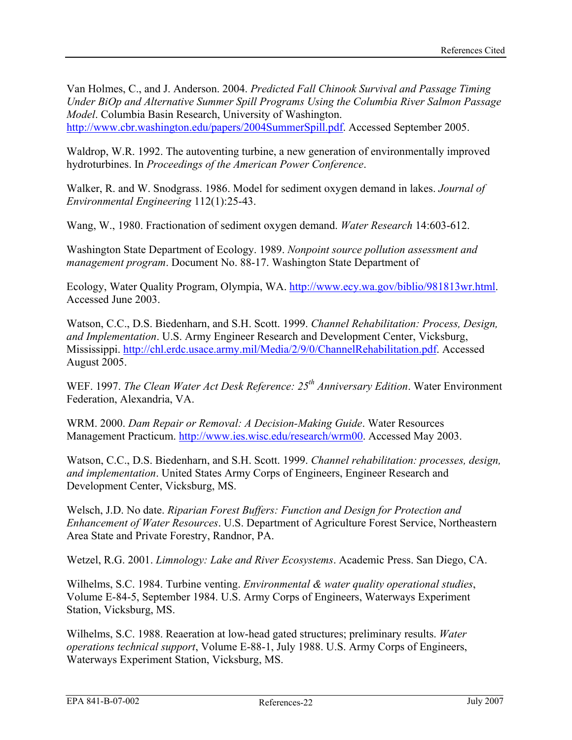Van Holmes, C., and J. Anderson. 2004. *Predicted Fall Chinook Survival and Passage Timing Under BiOp and Alternative Summer Spill Programs Using the Columbia River Salmon Passage Model*. Columbia Basin Research, University of Washington. <http://www.cbr.washington.edu/papers/2004SummerSpill.pdf>. Accessed September 2005.

Waldrop, W.R. 1992. The autoventing turbine, a new generation of environmentally improved hydroturbines. In *Proceedings of the American Power Conference*.

Walker, R. and W. Snodgrass. 1986. Model for sediment oxygen demand in lakes. *Journal of Environmental Engineering* 112(1):25-43.

Wang, W., 1980. Fractionation of sediment oxygen demand. *Water Research* 14:603-612.

Washington State Department of Ecology. 1989. *Nonpoint source pollution assessment and management program*. Document No. 88-17. Washington State Department of

Ecology, Water Quality Program, Olympia, WA.<http://www.ecy.wa.gov/biblio/981813wr.html>. Accessed June 2003.

Watson, C.C., D.S. Biedenharn, and S.H. Scott. 1999. *Channel Rehabilitation: Process, Design, and Implementation*. U.S. Army Engineer Research and Development Center, Vicksburg, Mississippi. [http://chl.erdc.usace.army.mil/Media/2/9/0/ChannelRehabilitation.pdf.](http://chl.erdc.usace.army.mil/Media/2/9/0/ChannelRehabilitation.pdf) Accessed August 2005.

WEF. 1997. *The Clean Water Act Desk Reference: 25<sup>th</sup> Anniversary Edition*. Water Environment Federation, Alexandria, VA.

WRM. 2000. *Dam Repair or Removal: A Decision-Making Guide*. Water Resources Management Practicum. [http://www.ies.wisc.edu/research/wrm00.](http://www.ies.wisc.edu/research/wrm00) Accessed May 2003.

Watson, C.C., D.S. Biedenharn, and S.H. Scott. 1999. *Channel rehabilitation: processes, design, and implementation*. United States Army Corps of Engineers, Engineer Research and Development Center, Vicksburg, MS.

Welsch, J.D. No date. *Riparian Forest Buffers: Function and Design for Protection and Enhancement of Water Resources*. U.S. Department of Agriculture Forest Service, Northeastern Area State and Private Forestry, Randnor, PA.

Wetzel, R.G. 2001. *Limnology: Lake and River Ecosystems*. Academic Press. San Diego, CA.

Wilhelms, S.C. 1984. Turbine venting. *Environmental & water quality operational studies*, Volume E-84-5, September 1984. U.S. Army Corps of Engineers, Waterways Experiment Station, Vicksburg, MS.

Wilhelms, S.C. 1988. Reaeration at low-head gated structures; preliminary results. *Water operations technical support*, Volume E-88-1, July 1988. U.S. Army Corps of Engineers, Waterways Experiment Station, Vicksburg, MS.